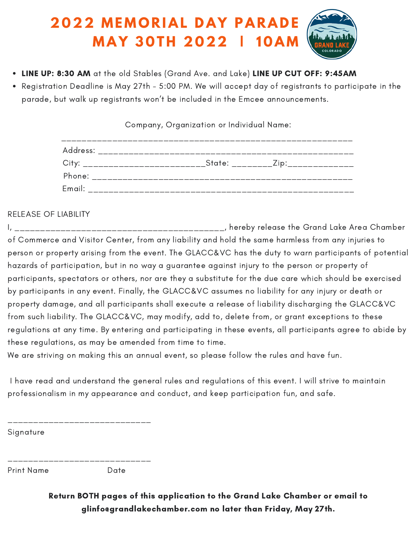## **2 0 2 2 M E M O R I A L D A Y P A R A D E M A Y 3 0 T H 2 0 2 2 | 1 0 A M**

- . LINE UP: 8:30 AM at the old Stables (Grand Ave. and Lake) LINE UP CUT OFF: 9:45AM
- Registration Deadline is May 27th 5:00 PM. We will accept day of registrants to participate in the parade, but walk up registrants won't be included in the Emcee announcements.

Company, Organization or Individual Name:

| Address: _________________________________                                                                                                                                                                                     |  |
|--------------------------------------------------------------------------------------------------------------------------------------------------------------------------------------------------------------------------------|--|
| City: _____________________________State: __________Zip:________________                                                                                                                                                       |  |
|                                                                                                                                                                                                                                |  |
| Email: Email: All and the state of the state of the state of the state of the state of the state of the state of the state of the state of the state of the state of the state of the state of the state of the state of the s |  |

RELEASE OF LIABILITY

I, \_\_\_\_\_\_\_\_\_\_\_\_\_\_\_\_\_\_\_\_\_\_\_\_\_\_\_\_\_\_\_\_\_\_\_\_\_\_\_\_\_, hereby release the Grand Lake Area Chamber of Commerce and Visitor Center, from any liability and hold the same harmless from any injuries to person or property arising from the event. The GLACC&VC has the duty to warn participants of potential hazards of participation, but in no way a guarantee against injury to the person or property of participants, spectators or others, nor are they a substitute for the due care which should be exercised by participants in any event. Finally, the GLACC&VC assumes no liability for any injury or death or property damage, and all participants shall execute a release of liability discharging the GLACC&VC from such liability. The GLACC&VC, may modify, add to, delete from, or grant exceptions to these regulations at any time. By entering and participating in these events, all participants agree to abide by these regulations, as may be amended from time to time.

We are striving on making this an annual event, so please follow the rules and have fun.

I have read and understand the general rules and regulations of this event. I will strive to maintain professionalism in my appearance and conduct, and keep participation fun, and safe.

**Signature** 

Print Name Date

\_\_\_\_\_\_\_\_\_\_\_\_\_\_\_\_\_\_\_\_\_\_\_\_\_\_\_\_

\_\_\_\_\_\_\_\_\_\_\_\_\_\_\_\_\_\_\_\_\_\_\_\_\_\_\_\_

Return BOTH pages of this application to the Grand Lake Chamber or email to glinfo@grandlakechamber.com no later than Friday, May 27th.